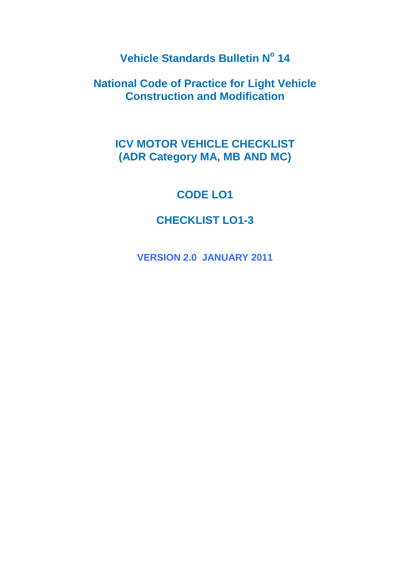**Vehicle Standards Bulletin N<sup>o</sup> 14**

**National Code of Practice for Light Vehicle Construction and Modification**

# **ICV MOTOR VEHICLE CHECKLIST (ADR Category MA, MB AND MC)**

# **CODE LO1**

# **CHECKLIST LO1-3**

**VERSION 2.0 JANUARY 2011**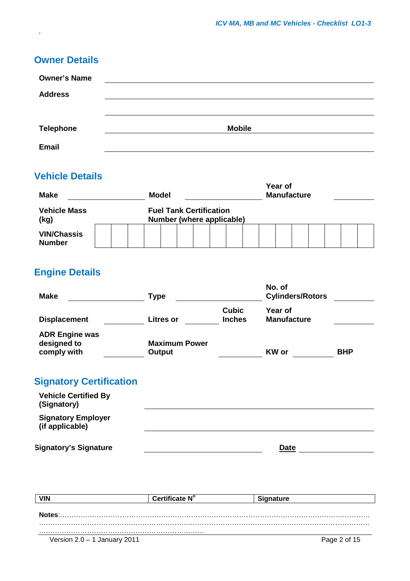## **Owner Details**

*.*

| <b>Owner's Name</b> |               |
|---------------------|---------------|
| <b>Address</b>      |               |
|                     |               |
| <b>Telephone</b>    | <b>Mobile</b> |
| <b>Email</b>        |               |

## **Vehicle Details**

| <b>Make</b>                         |  |  | Year of<br><b>Manufacture</b><br><b>Model</b>               |  |  |  |  |  |  |  |  |  |  |  |  |  |  |
|-------------------------------------|--|--|-------------------------------------------------------------|--|--|--|--|--|--|--|--|--|--|--|--|--|--|
| <b>Vehicle Mass</b><br>(kg)         |  |  | <b>Fuel Tank Certification</b><br>Number (where applicable) |  |  |  |  |  |  |  |  |  |  |  |  |  |  |
| <b>VIN/Chassis</b><br><b>Number</b> |  |  |                                                             |  |  |  |  |  |  |  |  |  |  |  |  |  |  |

# **Engine Details**

| <b>Make</b>                                         | <b>Type</b>                    |                               | No. of<br><b>Cylinders/Rotors</b> |            |  |  |  |
|-----------------------------------------------------|--------------------------------|-------------------------------|-----------------------------------|------------|--|--|--|
| <b>Displacement</b>                                 | <b>Litres or</b>               | <b>Cubic</b><br><b>Inches</b> | Year of<br><b>Manufacture</b>     |            |  |  |  |
| <b>ADR Engine was</b><br>designed to<br>comply with | <b>Maximum Power</b><br>Output |                               | <b>KW</b> or                      | <b>BHP</b> |  |  |  |
| Signatory Certification                             |                                |                               |                                   |            |  |  |  |

## **Signatory Certification**

| <b>Vehicle Certified By</b><br>(Signatory)   |             |
|----------------------------------------------|-------------|
| <b>Signatory Employer</b><br>(if applicable) |             |
| <b>Signatory's Signature</b>                 | <b>Date</b> |

| <b>VIN</b>                   | Certificate N° | <b>Signature</b> |
|------------------------------|----------------|------------------|
| Notes:                       |                |                  |
|                              |                |                  |
| Version 2.0 – 1 January 2011 |                | Page 2 of 15     |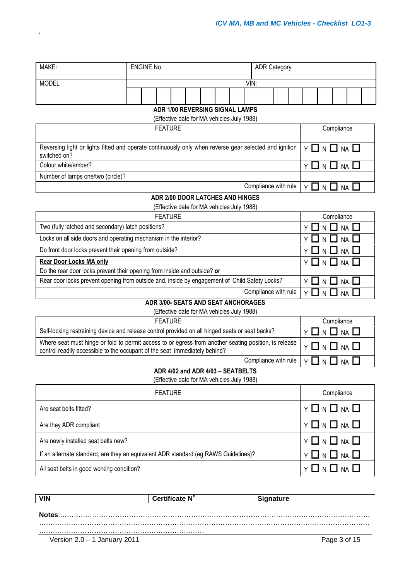| MAKE:                                                                                                  |  | <b>ENGINE No.</b> |                                                                                      |  |  |  |  |  |                      | <b>ADR Category</b>  |  |    |                                    |                                                                 |                                  |  |
|--------------------------------------------------------------------------------------------------------|--|-------------------|--------------------------------------------------------------------------------------|--|--|--|--|--|----------------------|----------------------|--|----|------------------------------------|-----------------------------------------------------------------|----------------------------------|--|
| <b>MODEL</b>                                                                                           |  |                   |                                                                                      |  |  |  |  |  | VIN:                 |                      |  |    |                                    |                                                                 |                                  |  |
|                                                                                                        |  |                   |                                                                                      |  |  |  |  |  |                      |                      |  |    |                                    |                                                                 |                                  |  |
|                                                                                                        |  |                   |                                                                                      |  |  |  |  |  |                      |                      |  |    |                                    |                                                                 |                                  |  |
|                                                                                                        |  |                   | <b>ADR 1/00 REVERSING SIGNAL LAMPS</b><br>(Effective date for MA vehicles July 1988) |  |  |  |  |  |                      |                      |  |    |                                    |                                                                 |                                  |  |
|                                                                                                        |  |                   | <b>FEATURE</b>                                                                       |  |  |  |  |  |                      |                      |  |    |                                    | Compliance                                                      |                                  |  |
| Reversing light or lights fitted and operate continuously only when reverse gear selected and ignition |  |                   |                                                                                      |  |  |  |  |  |                      |                      |  |    |                                    |                                                                 |                                  |  |
| switched on?                                                                                           |  |                   |                                                                                      |  |  |  |  |  |                      |                      |  |    | $Y \ \Box \ N \ \Box \ N A \ \Box$ |                                                                 |                                  |  |
| Colour white/amber?                                                                                    |  |                   |                                                                                      |  |  |  |  |  |                      |                      |  |    |                                    | Y O N O NA O                                                    |                                  |  |
| Number of lamps one/two (circle)?                                                                      |  |                   |                                                                                      |  |  |  |  |  |                      |                      |  |    |                                    |                                                                 |                                  |  |
|                                                                                                        |  |                   |                                                                                      |  |  |  |  |  | Compliance with rule |                      |  |    |                                    | $Y \Box N \Box NA \Box$                                         |                                  |  |
|                                                                                                        |  |                   | <b>ADR 2/00 DOOR LATCHES AND HINGES</b>                                              |  |  |  |  |  |                      |                      |  |    |                                    |                                                                 |                                  |  |
|                                                                                                        |  |                   | (Effective date for MA vehicles July 1988)                                           |  |  |  |  |  |                      |                      |  |    |                                    |                                                                 |                                  |  |
|                                                                                                        |  |                   | <b>FEATURE</b>                                                                       |  |  |  |  |  |                      |                      |  |    |                                    | Compliance                                                      |                                  |  |
| Two (fully latched and secondary) latch positions?                                                     |  |                   |                                                                                      |  |  |  |  |  |                      |                      |  | Y  | N                                  |                                                                 | $NA$ $\Box$                      |  |
| Locks on all side doors and operating mechanism in the interior?                                       |  |                   |                                                                                      |  |  |  |  |  |                      |                      |  |    | N                                  | -1                                                              | $NA$ $\Box$                      |  |
| Do front door locks prevent their opening from outside?                                                |  |                   |                                                                                      |  |  |  |  |  |                      |                      |  |    | $\mathsf{N}$                       | -1                                                              | NA                               |  |
| <b>Rear Door Locks MA only</b>                                                                         |  |                   |                                                                                      |  |  |  |  |  |                      |                      |  |    |                                    | Y □ N □ NA □                                                    |                                  |  |
| Do the rear door locks prevent their opening from inside and outside? or                               |  |                   |                                                                                      |  |  |  |  |  |                      |                      |  |    |                                    |                                                                 |                                  |  |
| Rear door locks prevent opening from outside and, inside by engagement of 'Child Safety Locks?'        |  |                   |                                                                                      |  |  |  |  |  |                      |                      |  |    |                                    | N $\sqcup$ NA $\sqcup$                                          |                                  |  |
|                                                                                                        |  |                   |                                                                                      |  |  |  |  |  | Compliance with rule |                      |  | YЦ |                                    | $N \bigsqcup NA \bigsqcup$                                      |                                  |  |
|                                                                                                        |  |                   | ADR 3/00- SEATS AND SEAT ANCHORAGES<br>(Effective date for MA vehicles July 1988)    |  |  |  |  |  |                      |                      |  |    |                                    |                                                                 |                                  |  |
|                                                                                                        |  |                   | <b>FEATURE</b>                                                                       |  |  |  |  |  |                      |                      |  |    |                                    | Compliance                                                      |                                  |  |
| Self-locking restraining device and release control provided on all hinged seats or seat backs?        |  |                   |                                                                                      |  |  |  |  |  |                      |                      |  | Υ  |                                    |                                                                 | <b>NA</b>                        |  |
| Where seat must hinge or fold to permit access to or egress from another seating position, is release  |  |                   |                                                                                      |  |  |  |  |  |                      |                      |  |    |                                    |                                                                 |                                  |  |
| control readily accessible to the occupant of the seat immediately behind?                             |  |                   |                                                                                      |  |  |  |  |  |                      |                      |  | Y. | N                                  | U NA L                                                          |                                  |  |
|                                                                                                        |  |                   |                                                                                      |  |  |  |  |  |                      | Compliance with rule |  |    |                                    | $Y \mathbin{\square} N \mathbin{\square} N A \mathbin{\square}$ |                                  |  |
|                                                                                                        |  |                   | ADR 4/02 and ADR 4/03 - SEATBELTS                                                    |  |  |  |  |  |                      |                      |  |    |                                    |                                                                 |                                  |  |
|                                                                                                        |  |                   | (Effective date for MA vehicles July 1988)                                           |  |  |  |  |  |                      |                      |  |    |                                    |                                                                 |                                  |  |
|                                                                                                        |  |                   | <b>FEATURE</b>                                                                       |  |  |  |  |  |                      |                      |  |    |                                    | Compliance                                                      |                                  |  |
| Are seat belts fitted?                                                                                 |  |                   |                                                                                      |  |  |  |  |  |                      |                      |  |    |                                    |                                                                 | Y 囗 N 囗 NA 囗                     |  |
| Are they ADR compliant                                                                                 |  |                   |                                                                                      |  |  |  |  |  |                      |                      |  |    |                                    |                                                                 | Y 囗 N 囗 NA 囗                     |  |
| Are newly installed seat belts new?                                                                    |  |                   |                                                                                      |  |  |  |  |  |                      |                      |  |    |                                    |                                                                 | Y 囗 N 囗 NA 囗                     |  |
| If an alternate standard, are they an equivalent ADR standard (eg RAWS Guidelines)?                    |  |                   |                                                                                      |  |  |  |  |  |                      |                      |  |    |                                    |                                                                 | N $\square$ NA $\square$         |  |
| All seat belts in good working condition?                                                              |  |                   |                                                                                      |  |  |  |  |  |                      |                      |  |    |                                    |                                                                 | $Y \square N \square NA \square$ |  |

| VIN<br><b>Certificate N</b>  | Signature    |
|------------------------------|--------------|
|                              |              |
| Notes:                       |              |
|                              |              |
|                              |              |
|                              |              |
| Version 2.0 – 1 January 2011 | Page 3 of 15 |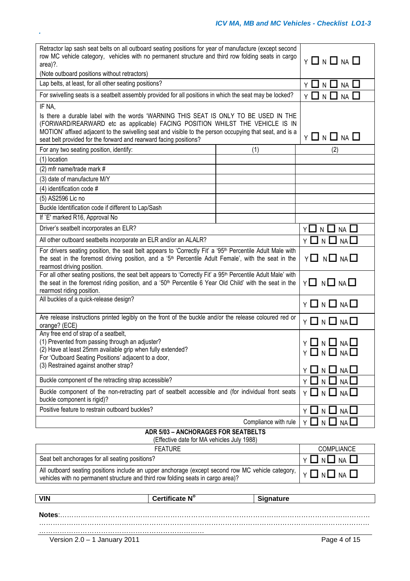## *ICV MA, MB and MC Vehicles - Checklist LO1-3*

| Retractor lap sash seat belts on all outboard seating positions for year of manufacture (except second<br>row MC vehicle category, vehicles with no permanent structure and third row folding seats in cargo<br>area)?.<br>(Note outboard positions without retractors)                                                                               | $Y \Box N \Box NA \Box$                 |                                     |
|-------------------------------------------------------------------------------------------------------------------------------------------------------------------------------------------------------------------------------------------------------------------------------------------------------------------------------------------------------|-----------------------------------------|-------------------------------------|
| Lap belts, at least, for all other seating positions?                                                                                                                                                                                                                                                                                                 | Y O N O NA O                            |                                     |
| For swivelling seats is a seatbelt assembly provided for all positions in which the seat may be locked?                                                                                                                                                                                                                                               |                                         | $Y \Box N$<br>$\Box$<br>$NA$ $\Box$ |
| IF NA,                                                                                                                                                                                                                                                                                                                                                |                                         |                                     |
| Is there a durable label with the words 'WARNING THIS SEAT IS ONLY TO BE USED IN THE<br>(FORWARD/REARWARD etc as applicable) FACING POSITION WHILST THE VEHICLE IS IN<br>MOTION' affixed adjacent to the swivelling seat and visible to the person occupying that seat, and is a<br>seat belt provided for the forward and rearward facing positions? | $Y \square N \square NA \square$        |                                     |
| For any two seating position, identify:                                                                                                                                                                                                                                                                                                               | (1)                                     | (2)                                 |
| (1) location                                                                                                                                                                                                                                                                                                                                          |                                         |                                     |
| (2) mfr name/trade mark #                                                                                                                                                                                                                                                                                                                             |                                         |                                     |
| (3) date of manufacture M/Y                                                                                                                                                                                                                                                                                                                           |                                         |                                     |
| (4) identification code #                                                                                                                                                                                                                                                                                                                             |                                         |                                     |
| (5) AS2596 Lic no                                                                                                                                                                                                                                                                                                                                     |                                         |                                     |
| Buckle Identification code if different to Lap/Sash                                                                                                                                                                                                                                                                                                   |                                         |                                     |
| If `E' marked R16, Approval No                                                                                                                                                                                                                                                                                                                        |                                         |                                     |
| Driver's seatbelt incorporates an ELR?                                                                                                                                                                                                                                                                                                                |                                         | Y 囗 N 囗 NA 囗                        |
| All other outboard seatbelts incorporate an ELR and/or an ALALR?                                                                                                                                                                                                                                                                                      |                                         | $Y \square N \square NA \square$    |
| For drivers seating position, the seat belt appears to 'Correctly Fit' a '95 <sup>th</sup> Percentile Adult Male with<br>the seat in the foremost driving position, and a '5 <sup>th</sup> Percentile Adult Female', with the seat in the<br>rearmost driving position.                                                                               |                                         | Y <b>O</b> N <b>O</b> NAO           |
| For all other seating positions, the seat belt appears to 'Correctly Fit' a 95 <sup>th</sup> Percentile Adult Male' with<br>the seat in the foremost riding position, and a '50 <sup>th</sup> Percentile 6 Year Old Child' with the seat in the<br>rearmost riding position.                                                                          | $Y \square N \square N \square$         |                                     |
| All buckles of a quick-release design?                                                                                                                                                                                                                                                                                                                |                                         | $Y \Box N \Box NA \Box$             |
| Are release instructions printed legibly on the front of the buckle and/or the release coloured red or<br>orange? (ECE)                                                                                                                                                                                                                               |                                         | $Y \Box N \Box N \Box$              |
| Any free end of strap of a seatbelt,<br>(1) Prevented from passing through an adjuster?<br>(2) Have at least 25mm available grip when fully extended?<br>For 'Outboard Seating Positions' adjacent to a door,<br>(3) Restrained against another strap?                                                                                                | Y 囗 N 囗 NA 囗<br>$Y \Box N \Box NA \Box$ |                                     |
|                                                                                                                                                                                                                                                                                                                                                       |                                         | NA                                  |
| Buckle component of the retracting strap accessible?                                                                                                                                                                                                                                                                                                  |                                         |                                     |
| Buckle component of the non-retracting part of seatbelt accessible and (for individual front seats<br>buckle component is rigid)?                                                                                                                                                                                                                     |                                         | Y LI N LI NA LI                     |
| Positive feature to restrain outboard buckles?                                                                                                                                                                                                                                                                                                        |                                         | $NA$ $\Box$<br>ΥI<br>N.<br>- 1      |
|                                                                                                                                                                                                                                                                                                                                                       | Compliance with rule                    | ΥI<br>NA<br>N LJ                    |
| ADR 5/03 - ANCHORAGES FOR SEATBELTS                                                                                                                                                                                                                                                                                                                   |                                         |                                     |
| (Effective date for MA vehicles July 1988)<br><b>FEATURE</b>                                                                                                                                                                                                                                                                                          |                                         | COMPLIANCE                          |
| Seat belt anchorages for all seating positions?                                                                                                                                                                                                                                                                                                       |                                         |                                     |
|                                                                                                                                                                                                                                                                                                                                                       |                                         | $N \square$ $NA$ $L$<br>ΥI          |
| All outboard seating positions include an upper anchorage (except second row MC vehicle category,<br>vehicles with no permanent structure and third row folding seats in cargo area)?                                                                                                                                                                 |                                         | Y □ N □ NA □                        |
|                                                                                                                                                                                                                                                                                                                                                       |                                         |                                     |
| Certificate N°<br><b>VIN</b>                                                                                                                                                                                                                                                                                                                          | <b>Signature</b>                        |                                     |
| Notes:                                                                                                                                                                                                                                                                                                                                                |                                         |                                     |

………………………………………………………………………………………………………………………………

……………………………………………………………… Version 2.0 – 1 January 2011 **Page 4 of 15**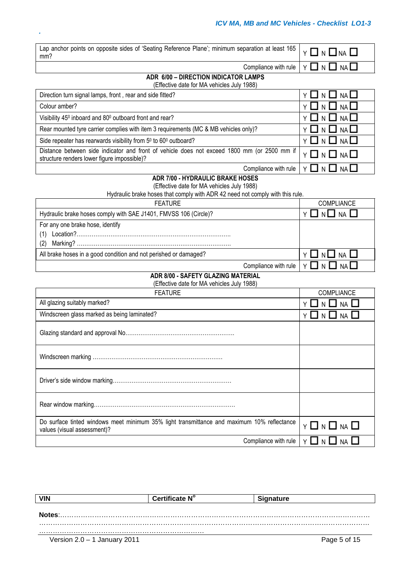| Lap anchor points on opposite sides of 'Seating Reference Plane'; minimum separation at least 165<br>mm?                                   | Y O N O NA O                 |
|--------------------------------------------------------------------------------------------------------------------------------------------|------------------------------|
| Compliance with rule                                                                                                                       | Y □ N □ NA □                 |
| ADR 6/00 - DIRECTION INDICATOR LAMPS<br>(Effective date for MA vehicles July 1988)                                                         |                              |
| Direction turn signal lamps, front, rear and side fitted?                                                                                  | Y 囗 N 囗 NA 囗                 |
| Colour amber?                                                                                                                              | YIINIINAI                    |
| Visibility 45 <sup>0</sup> inboard and 80 <sup>0</sup> outboard front and rear?                                                            | LIN LINAL                    |
| Rear mounted tyre carrier complies with item 3 requirements (MC & MB vehicles only)?                                                       | IN LINAL                     |
| Side repeater has rearwards visibility from 50 to 600 outboard?                                                                            | Y LI N LI NA LI              |
| Distance between side indicator and front of vehicle does not exceed 1800 mm (or 2500 mm if<br>structure renders lower figure impossible)? | Y □ N □ NA □                 |
| Compliance with rule                                                                                                                       | Y <b>LI</b> N <b>LI</b> NALI |
| <b>ADR 7/00 - HYDRAULIC BRAKE HOSES</b>                                                                                                    |                              |
| (Effective date for MA vehicles July 1988)<br>Hydraulic brake hoses that comply with ADR 42 need not comply with this rule.                |                              |
| <b>FEATURE</b>                                                                                                                             | <b>COMPLIANCE</b>            |
| Hydraulic brake hoses comply with SAE J1401, FMVSS 106 (Circle)?                                                                           | Y LI N LI NA                 |
| For any one brake hose, identify                                                                                                           |                              |
| (1)                                                                                                                                        |                              |
| (2)                                                                                                                                        |                              |
| All brake hoses in a good condition and not perished or damaged?                                                                           |                              |

| Direction turn signal lamps, front, rear and side fitted?                                                                                  | $Y \Box N \Box N A \Box$                                     |
|--------------------------------------------------------------------------------------------------------------------------------------------|--------------------------------------------------------------|
| Colour amber?                                                                                                                              | $Y \Box N \Box N A \Box$                                     |
| Visibility 45 <sup>0</sup> inboard and 80 <sup>0</sup> outboard front and rear?                                                            | $Y \Box N \Box NA \Box$                                      |
| Rear mounted tyre carrier complies with item 3 requirements (MC & MB vehicles only)?                                                       | $Y \Box N \Box N A \Box$                                     |
| Side repeater has rearwards visibility from 50 to 600 outboard?                                                                            | $Y \Box N \Box NA \Box$                                      |
| Distance between side indicator and front of vehicle does not exceed 1800 mm (or 2500 mm if<br>structure renders lower figure impossible)? | $Y \Box N \Box N \Box$                                       |
|                                                                                                                                            | Compliance with rule $\vert \gamma \Box \cap \Box$ NA $\Box$ |

| <b>FEAIURE</b>                                                                                                                                                                                                                                                                                                                                                                                                                              | <b>COMPLIANCE</b> |
|---------------------------------------------------------------------------------------------------------------------------------------------------------------------------------------------------------------------------------------------------------------------------------------------------------------------------------------------------------------------------------------------------------------------------------------------|-------------------|
| Hydraulic brake hoses comply with SAE J1401, FMVSS 106 (Circle)?                                                                                                                                                                                                                                                                                                                                                                            | NA L              |
| For any one brake hose, identify                                                                                                                                                                                                                                                                                                                                                                                                            |                   |
| $\textbf{\textit{Location}}{\textit{?}}{\textit{}}\dots{\textit{?}}{\textit{?}}%{\textit{?}}%{\textit{?}}%{\textit{?}}%{\textit{?}}%{\textit{?}}%{\textit{?}}%{\textit{?}}%{\textit{?}}%{\textit{?}}%{\textit{?}}%{\textit{?}}%{\textit{?}}%{\textit{?}}%{\textit{?}}%{\textit{?}}%{\textit{?}}%{\textit{?}}%{\textit{?}}%{\textit{?}}%{\textit{?}}%{\textit{?}}%{\textit{?}}%{\textit{?}}%{\textit{?}}%{\textit{?}}%{\textit{?}}%{\textit$ |                   |
| (2)                                                                                                                                                                                                                                                                                                                                                                                                                                         |                   |
| All brake hoses in a good condition and not perished or damaged?                                                                                                                                                                                                                                                                                                                                                                            | ᆜ NA 凵            |
| Compliance with rule $\vert \vee \vert \sqcup \vert \vee \vert$                                                                                                                                                                                                                                                                                                                                                                             | NA II             |

## **ADR 8/00 - SAFETY GLAZING MATERIAL**

| (Effective date for MA vehicles July 1988) |  |  |  |  |
|--------------------------------------------|--|--|--|--|

| <b>FEATURE</b>                                                                                                            | COMPLIANCE                   |
|---------------------------------------------------------------------------------------------------------------------------|------------------------------|
| All glazing suitably marked?                                                                                              | Y LI N LI NA LI              |
| Windscreen glass marked as being laminated?                                                                               | Y <b>LI</b> N <b>LI</b> NALI |
|                                                                                                                           |                              |
|                                                                                                                           |                              |
|                                                                                                                           |                              |
|                                                                                                                           |                              |
| Do surface tinted windows meet minimum 35% light transmittance and maximum 10% reflectance<br>values (visual assessment)? | $Y \Box N \Box NA \Box$      |
| Compliance with rule                                                                                                      | Y □ N □ NA □                 |

| <b>VIN</b>                   | Certificate N° | <b>Signature</b> |
|------------------------------|----------------|------------------|
|                              |                |                  |
|                              |                |                  |
|                              |                |                  |
|                              |                |                  |
| Version 2.0 – 1 January 2011 |                | Page 5 of 15     |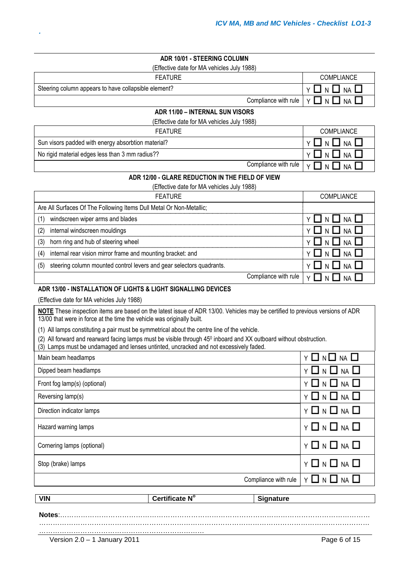## **ADR 10/01 - STEERING COLUMN**

(Effective date for MA vehicles July 1988)

|  |  | Feature |  |
|--|--|---------|--|
|  |  |         |  |

| FEATURE | <b>COMPLIANCE</b>                                               |
|---------|-----------------------------------------------------------------|
| ement?  | $\vert$ y $\Box$ n $\Box$ na $\Box$                             |
|         | Compliance with rule $\vert \gamma \Box \vert_N \Box$ NA $\Box$ |

| ADR 11/00 - INTERNAL SUN VISORS |  |
|---------------------------------|--|

(Effective date for MA vehicles July 1988)

| <b>FEATURE</b>                                     | <b>COMPLIANCE</b>                                                   |
|----------------------------------------------------|---------------------------------------------------------------------|
| Sun visors padded with energy absorbtion material? | $Y \Box N \Box NA \Box$                                             |
| No rigid material edges less than 3 mm radius??    |                                                                     |
|                                                    | Compliance with rule $  \vee \square \wedge \square \wedge \square$ |

#### **ADR 12/00 - GLARE REDUCTION IN THE FIELD OF VIEW**

(Effective date for MA vehicles July 1988)

| <b>FEATURE</b>                                                              | <b>COMPLIANCE</b>         |
|-----------------------------------------------------------------------------|---------------------------|
| Are All Surfaces Of The Following Items Dull Metal Or Non-Metallic;         |                           |
| windscreen wiper arms and blades<br>(1)                                     | Y O N O NA O              |
| internal windscreen mouldings<br>(2)                                        | $\Box$ n $\Box$ na $\Box$ |
| horn ring and hub of steering wheel<br>(3)                                  | $\Box$ n $\Box$ na $\Box$ |
| internal rear vision mirror frame and mounting bracket: and<br>(4)          | $\Box$ n $\Box$ na $\Box$ |
| steering column mounted control levers and gear selectors quadrants.<br>(5) | $\Box$ N $\Box$ NA $\Box$ |
| Compliance with rule                                                        | VINII                     |

#### **ADR 13/00 - INSTALLATION OF LIGHTS & LIGHT SIGNALLING DEVICES**

(Effective date for MA vehicles July 1988)

Steering column appears to have collapsible element?

*.*

**NOTE** These inspection items are based on the latest issue of ADR 13/00. Vehicles may be certified to previous versions of ADR 13/00 that were in force at the time the vehicle was originally built.

(1) All lamps constituting a pair must be symmetrical about the centre line of the vehicle.

(2) All forward and rearward facing lamps must be visible through 45<sup>0</sup> inboard and XX outboard without obstruction.

(3) Lamps must be undamaged and lenses untinted, uncracked and not excessively faded.

| <b>VIN</b>                   | Certificate N° | <b>Signature</b>     |                                  |
|------------------------------|----------------|----------------------|----------------------------------|
|                              |                |                      |                                  |
|                              |                | Compliance with rule | Y □ N □<br>$NA$ $\Box$           |
| Stop (brake) lamps           |                |                      | Y O N O NA O                     |
| Cornering lamps (optional)   |                |                      | $Y \Box N \Box NA \Box$          |
| Hazard warning lamps         |                |                      | $Y \square N \square NA \square$ |
| Direction indicator lamps    |                |                      | $Y \square N \square NA \square$ |
| Reversing lamp(s)            |                |                      | $Y \Box N \Box NA \Box$          |
| Front fog lamp(s) (optional) |                |                      | <b>Y □ N □ NA □</b>              |
| Dipped beam headlamps        |                |                      | $Y \Box N \Box NA \Box$          |
| Main beam headlamps          |                |                      | $Y \Box N \Box NA \Box$          |

………………………………………………………………………………………………………………………………

………………………………………………………………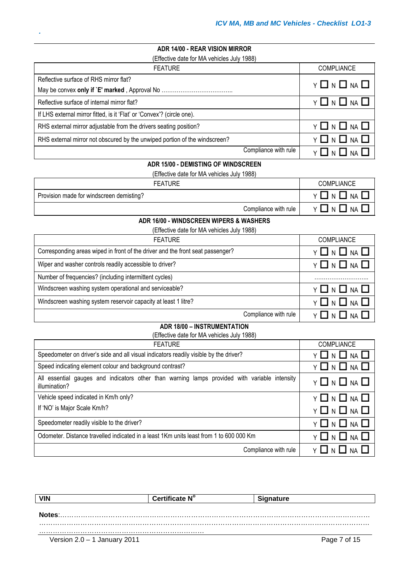## **ADR 14/00 - REAR VISION MIRROR**

| (Effective date for MA vehicles July 1988)                                 |                         |  |
|----------------------------------------------------------------------------|-------------------------|--|
| <b>FEATURE</b>                                                             | <b>COMPLIANCE</b>       |  |
| Reflective surface of RHS mirror flat?                                     | $Y \Box N \Box NA \Box$ |  |
|                                                                            |                         |  |
| Reflective surface of internal mirror flat?                                | $Y \Box N \Box NA \Box$ |  |
| If LHS external mirror fitted, is it 'Flat' or 'Convex'? (circle one).     |                         |  |
| RHS external mirror adjustable from the drivers seating position?          | $Y \Box N \Box NA \Box$ |  |
| RHS external mirror not obscured by the unwiped portion of the windscreen? | $Y \Box N \Box NA \Box$ |  |
| Compliance with rule                                                       |                         |  |

#### **ADR 15/00 - DEMISTING OF WINDSCREEN**

(Effective date for MA vehicles July 1988)

| <b>FEATURE</b>                           | <b>COMPLIANCE</b> |
|------------------------------------------|-------------------|
| Provision made for windscreen demisting? | NA L<br>1 N I     |
| Compliance with rule                     | J na I<br>IN I    |

#### **ADR 16/00 - WINDSCREEN WIPERS & WASHERS**

| (Effective date for MA vehicles July 1988)                                     |                     |  |
|--------------------------------------------------------------------------------|---------------------|--|
| <b>FEATURE</b>                                                                 | <b>COMPLIANCE</b>   |  |
| Corresponding areas wiped in front of the driver and the front seat passenger? | YUNONAO             |  |
| Wiper and washer controls readily accessible to driver?                        | YLINLINAL           |  |
| Number of frequencies? (including intermittent cycles)                         |                     |  |
| Windscreen washing system operational and serviceable?                         | <b>Y ∐ N □ NA □</b> |  |
| Windscreen washing system reservoir capacity at least 1 litre?                 | NA I<br>YINII       |  |
| Compliance with rule                                                           |                     |  |

#### **ADR 18/00 – INSTRUMENTATION**

(Effective date for MA vehicles July 1988)

| <b>FEATURE</b>                                                                                                 | <b>COMPLIANCE</b>                  |
|----------------------------------------------------------------------------------------------------------------|------------------------------------|
| Speedometer on driver's side and all visual indicators readily visible by the driver?                          | Y □ N □ NA □                       |
| Speed indicating element colour and background contrast?                                                       | $Y \Box N \Box NA \Box$            |
| All essential gauges and indicators other than warning lamps provided with variable intensity<br>illumination? | $Y \Box N \Box NA \Box$            |
| Vehicle speed indicated in Km/h only?                                                                          | Y □ N □ NA □                       |
| If 'NO' is Major Scale Km/h?                                                                                   | $Y \Box N \Box NA \Box$            |
| Speedometer readily visible to the driver?                                                                     | $Y \Box N \Box NA \Box$            |
| Odometer. Distance travelled indicated in a least 1Km units least from 1 to 600 000 Km                         | $Y \ \Box \ N \ \Box \ N A \ \Box$ |
| Compliance with rule                                                                                           | Y T N T NA T                       |

| <b>VIN</b>                     | Certificate N° | <b>Signature</b> |
|--------------------------------|----------------|------------------|
|                                |                |                  |
| Notes:                         |                |                  |
|                                |                |                  |
|                                |                |                  |
| Version $2.0 - 1$ January 2011 |                | Page 7 of 15     |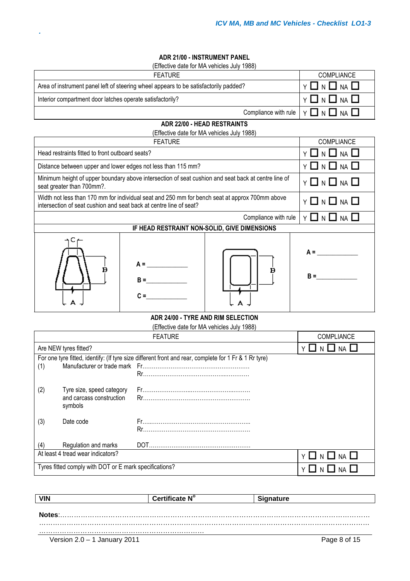## **ADR 21/00 - INSTRUMENT PANEL**

(Effective date for MA vehicles July 1988)

| <b>FEATURE</b>                                                                       | <b>COMPLIANCE</b>                                                     |
|--------------------------------------------------------------------------------------|-----------------------------------------------------------------------|
| Area of instrument panel left of steering wheel appears to be satisfactorily padded? |                                                                       |
| Interior compartment door latches operate satisfactorily?                            | $\vert$ y $\Box$ n $\Box$ na $\Box$                                   |
|                                                                                      | Compliance with rule $\vert \gamma \square \cap \square$ NA $\square$ |

#### **ADR 22/00 - HEAD RESTRAINTS**

(Effective date for MA vehicles July 1988)

| <b>FEATURE</b>                                                                                                                                                       |            | <b>COMPLIANCE</b>                                                                                   |                                      |
|----------------------------------------------------------------------------------------------------------------------------------------------------------------------|------------|-----------------------------------------------------------------------------------------------------|--------------------------------------|
| Head restraints fitted to front outboard seats?                                                                                                                      |            | <b>NA</b>                                                                                           |                                      |
| Distance between upper and lower edges not less than 115 mm?                                                                                                         |            |                                                                                                     | Y <b>LI</b> N <b>LI</b> NA <b>LI</b> |
| seat greater than 700mm?.                                                                                                                                            |            | Minimum height of upper boundary above intersection of seat cushion and seat back at centre line of | $Y \Box N \Box NA \Box$              |
| Width not less than 170 mm for individual seat and 250 mm for bench seat at approx 700mm above<br>intersection of seat cushion and seat back at centre line of seat? |            | Y O N O NA O                                                                                        |                                      |
|                                                                                                                                                                      |            | Compliance with rule                                                                                | Y □ N □ NA □                         |
| IF HEAD RESTRAINT NON-SOLID, GIVE DIMENSIONS                                                                                                                         |            |                                                                                                     |                                      |
| в                                                                                                                                                                    | $\Delta =$ | в                                                                                                   | $A =$<br>$B =$                       |

#### **ADR 24/00 - TYRE AND RIM SELECTION** (Effective date for MA vehicles July 1988)

| LIFLUS QUIE IUI IVIA VEIIILES JUIV 1900) |                                                        |                                                                                                       |                                      |
|------------------------------------------|--------------------------------------------------------|-------------------------------------------------------------------------------------------------------|--------------------------------------|
|                                          |                                                        | <b>FEATURE</b>                                                                                        | <b>COMPLIANCE</b>                    |
|                                          | Are NEW tyres fitted?                                  |                                                                                                       |                                      |
|                                          |                                                        | For one tyre fitted, identify: (If tyre size different front and rear, complete for 1 Fr & 1 Rr tyre) |                                      |
| (1)                                      |                                                        |                                                                                                       |                                      |
|                                          |                                                        |                                                                                                       |                                      |
| (2)                                      | Tyre size, speed category                              |                                                                                                       |                                      |
|                                          | and carcass construction<br>symbols                    |                                                                                                       |                                      |
| (3)                                      | Date code                                              |                                                                                                       |                                      |
| (4)                                      | Regulation and marks                                   |                                                                                                       |                                      |
|                                          | At least 4 tread wear indicators?                      |                                                                                                       | Y <b>LI</b> N <b>LI</b> NA <b>LI</b> |
|                                          | Tyres fitted comply with DOT or E mark specifications? |                                                                                                       |                                      |

| <b>VIN</b>                   | Certificate N° | <b>Signature</b> |              |
|------------------------------|----------------|------------------|--------------|
|                              |                |                  |              |
|                              |                |                  |              |
|                              |                |                  |              |
|                              |                |                  |              |
| Version 2.0 - 1 January 2011 |                |                  | Page 8 of 15 |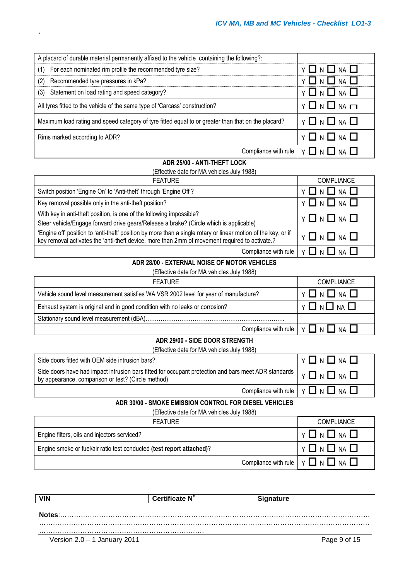| A placard of durable material permanently affixed to the vehicle containing the following?:         |                                                  |
|-----------------------------------------------------------------------------------------------------|--------------------------------------------------|
| For each nominated rim profile the recommended tyre size?<br>(1)                                    | $Y \Box N \Box NA \Box$                          |
| Recommended tyre pressures in kPa?<br>(2)                                                           | $Y \Box N \Box NA \Box$                          |
| Statement on load rating and speed category?<br>(3)                                                 | $Y \Box N \Box NA \Box$                          |
| All tyres fitted to the vehicle of the same type of 'Carcass' construction?                         | $Y \square N \square NA \square$                 |
| Maximum load rating and speed category of tyre fitted equal to or greater than that on the placard? | $Y \Box N \Box NA \Box$                          |
| Rims marked according to ADR?                                                                       | $Y \Box N \Box NA \Box$                          |
|                                                                                                     | Compliance with rule $  Y \square N \square N$ A |

#### **ADR 25/00 - ANTI-THEFT LOCK**

(Effective date for MA vehicles July 1988)

| <b>FEATURE</b>                                                                                                                                                                                                   | <b>COMPLIANCE</b>                                         |
|------------------------------------------------------------------------------------------------------------------------------------------------------------------------------------------------------------------|-----------------------------------------------------------|
| Switch position 'Engine On' to 'Anti-theft' through 'Engine Off'?                                                                                                                                                | Y □ N □ NA □                                              |
| Key removal possible only in the anti-theft position?                                                                                                                                                            | $Y \Box N \Box NA \Box$                                   |
| With key in anti-theft position, is one of the following impossible?<br>Steer vehicle/Engage forward drive gears/Release a brake? (Circle which is applicable)                                                   | $Y \Box N \Box NA \Box$                                   |
| 'Engine off' position to 'anti-theft' position by more than a single rotary or linear motion of the key, or if<br>key removal activates the 'anti-theft device, more than 2mm of movement required to activate.? | $Y \Box N \Box NA \Box$                                   |
|                                                                                                                                                                                                                  | Compliance with rule $ Y \square N \square N$ A $\square$ |

## **ADR 28/00 - EXTERNAL NOISE OF MOTOR VEHICLES**

(Effective date for MA vehicles July 1988)

| <b>FEATURE</b>                                                                       | <b>COMPLIANCE</b>                                                |
|--------------------------------------------------------------------------------------|------------------------------------------------------------------|
| Vehicle sound level measurement satisfies WA VSR 2002 level for year of manufacture? | $Y \ \Box \ N \ \Box \ N A \ \Box$                               |
| Exhaust system is original and in good condition with no leaks or corrosion?         | Y O N O NA U                                                     |
|                                                                                      |                                                                  |
|                                                                                      | Compliance with rule $ \gamma \square \cap \square$ NA $\square$ |

## **ADR 29/00 - SIDE DOOR STRENGTH**

(Effective date for MA vehicles July 1988)

| Side doors fitted with OEM side intrusion bars?                                                                                                                                            | $Y \Box N \Box NA \Box$                                               |
|--------------------------------------------------------------------------------------------------------------------------------------------------------------------------------------------|-----------------------------------------------------------------------|
| Side doors have had impact intrusion bars fitted for occupant protection and bars meet ADR standards $\vert \gamma \Box$ N $\Box$ NA<br>by appearance, comparison or test? (Circle method) |                                                                       |
|                                                                                                                                                                                            | Compliance with rule $\vert \gamma \square \cap \square$ NA $\square$ |

#### **ADR 30/00 - SMOKE EMISSION CONTROL FOR DIESEL VEHICLES**

(Effective date for MA vehicles July 1988)

| <b>FEATURE</b>                                                        | <b>COMPLIANCE</b>                             |
|-----------------------------------------------------------------------|-----------------------------------------------|
| Engine filters, oils and injectors serviced?                          | ▎ <sub></sub> ▏▁▏▏▁▏ <sub></sub>              |
| Engine smoke or fuel/air ratio test conducted (test report attached)? | $Y \Box N \Box N \Box$                        |
|                                                                       | Compliance with rule $ Y \square N \square N$ |

| <b>VIN</b>                   | Certificate N° | <b>Signature</b> |
|------------------------------|----------------|------------------|
|                              |                |                  |
| Notes:                       |                |                  |
|                              |                |                  |
|                              |                |                  |
| Version 2.0 - 1 January 2011 |                | Page 9 of 15     |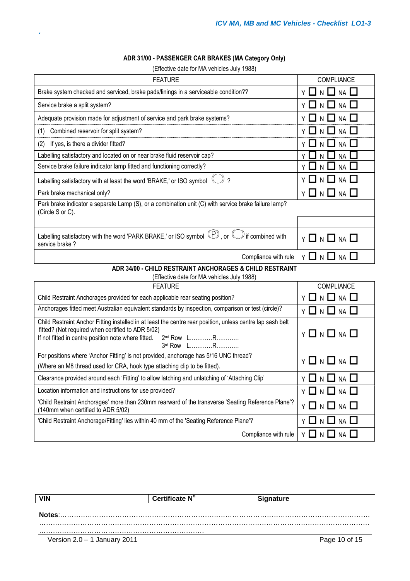## **ADR 31/00 - PASSENGER CAR BRAKES (MA Category Only)**

| (Effective date for MA vehicles July 1988) |  |  |
|--------------------------------------------|--|--|
|--------------------------------------------|--|--|

| <b>FEATURE</b>                                                                                                                                                                                                                                                 | COMPLIANCE                         |
|----------------------------------------------------------------------------------------------------------------------------------------------------------------------------------------------------------------------------------------------------------------|------------------------------------|
| Brake system checked and serviced, brake pads/linings in a serviceable condition??                                                                                                                                                                             | Y 囗 N 囗 NA 囗                       |
| Service brake a split system?                                                                                                                                                                                                                                  | $\mathsf{L}$<br>$NA$ $\Box$<br>N.  |
| Adequate provision made for adjustment of service and park brake systems?                                                                                                                                                                                      | - 1<br>NA<br>N                     |
| Combined reservoir for split system?<br>(1)                                                                                                                                                                                                                    | <b>NA</b>                          |
| If yes, is there a divider fitted?<br>(2)                                                                                                                                                                                                                      | NА                                 |
| Labelling satisfactory and located on or near brake fluid reservoir cap?                                                                                                                                                                                       | <b>NA</b>                          |
| Service brake failure indicator lamp fitted and functioning correctly?                                                                                                                                                                                         | NA  <br>Y<br>N                     |
| $\binom{n}{2}$<br>Labelling satisfactory with at least the word 'BRAKE,' or ISO symbol                                                                                                                                                                         | $NA$ $\Box$<br>-1                  |
| Park brake mechanical only?                                                                                                                                                                                                                                    | $\Box$ n $\Box$ na $\Box$<br>Y I   |
| Park brake indicator a separate Lamp (S), or a combination unit (C) with service brake failure lamp?<br>(Circle S or C).                                                                                                                                       |                                    |
|                                                                                                                                                                                                                                                                |                                    |
| Labelling satisfactory with the word 'PARK BRAKE,' or ISO symbol $\mathbb{P}$ , or $\mathbb{C}$ if combined with<br>service brake?                                                                                                                             | $Y \Box N \Box NA \Box$            |
| Compliance with rule                                                                                                                                                                                                                                           | $Y \Box N \Box NA \Box$            |
| ADR 34/00 - CHILD RESTRAINT ANCHORAGES & CHILD RESTRAINT                                                                                                                                                                                                       |                                    |
| (Effective date for MA vehicles July 1988)                                                                                                                                                                                                                     |                                    |
| <b>FEATURE</b>                                                                                                                                                                                                                                                 | COMPLIANCE                         |
| Child Restraint Anchorages provided for each applicable rear seating position?                                                                                                                                                                                 | N $\Box$ Na $\Box$<br>-1<br>ΥI     |
| Anchorages fitted meet Australian equivalent standards by inspection, comparison or test (circle)?                                                                                                                                                             | Y O N O NA O                       |
| Child Restraint Anchor Fitting installed in at least the centre rear position, unless centre lap sash belt<br>fitted? (Not required when certified to ADR 5/02)<br>If not fitted in centre position note where fitted.<br>2 <sup>nd</sup> Row LR<br>3rd Row LR | $Y \ \Box \ N \ \Box \ N A \ \Box$ |
| For positions where 'Anchor Fitting' is not provided, anchorage has 5/16 UNC thread?                                                                                                                                                                           | $Y \Box N \Box NA$                 |
| (Where an M8 thread used for CRA, hook type attaching clip to be fitted).                                                                                                                                                                                      |                                    |
| Clearance provided around each 'Fitting' to allow latching and unlatching of 'Attaching Clip'                                                                                                                                                                  | Y □ N □ NA I                       |
| Location information and instructions for use provided?                                                                                                                                                                                                        | $Y \Box N \Box NA \Box$            |
| 'Child Restraint Anchorages' more than 230mm rearward of the transverse 'Seating Reference Plane'?<br>(140mm when certified to ADR 5/02)                                                                                                                       | Y 囗 N 囗 NA 囗                       |
|                                                                                                                                                                                                                                                                |                                    |
| 'Child Restraint Anchorage/Fitting' lies within 40 mm of the 'Seating Reference Plane'?                                                                                                                                                                        | Y O N O NA O                       |

| <b>VIN</b>                   | Certificate N° | <b>Signature</b> |
|------------------------------|----------------|------------------|
|                              |                |                  |
| Notes:                       |                |                  |
|                              |                |                  |
|                              |                |                  |
| Version 2.0 – 1 January 2011 |                | Page 10 of 15    |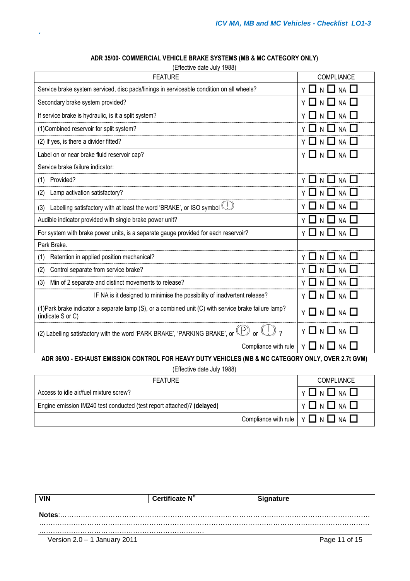| (Effective date July 1988)                                                                                                 |                                        |  |
|----------------------------------------------------------------------------------------------------------------------------|----------------------------------------|--|
| <b>FEATURE</b>                                                                                                             | COMPLIANCE                             |  |
| Service brake system serviced, disc pads/linings in serviceable condition on all wheels?                                   | N $\square$ NA $\square$<br>$Y \Box$   |  |
| Secondary brake system provided?                                                                                           | $N$ $\Box$<br>- 1<br>$NA$ $\Box$       |  |
| If service brake is hydraulic, is it a split system?                                                                       | <b>NA</b><br>N                         |  |
| (1) Combined reservoir for split system?                                                                                   | $\mathsf{N}$<br><b>NA</b>              |  |
| (2) If yes, is there a divider fitted?                                                                                     | <b>NA</b>                              |  |
| Label on or near brake fluid reservoir cap?                                                                                | <b>NA</b><br>ΥI<br>N I<br>- 1          |  |
| Service brake failure indicator:                                                                                           |                                        |  |
| Provided?<br>(1)                                                                                                           | N LI<br><b>NA</b>                      |  |
| Lamp activation satisfactory?<br>(2)                                                                                       | $\overline{N}$<br><b>NA</b>            |  |
| Labelling satisfactory with at least the word 'BRAKE', or ISO symbol (U)<br>(3)                                            | $\Box$ n $\Box$ na $\Box$              |  |
| Audible indicator provided with single brake power unit?                                                                   | <b>NA</b><br>YЦ<br>$\mathsf{N}$<br>- 1 |  |
| For system with brake power units, is a separate gauge provided for each reservoir?                                        | Y □ N □ NA □                           |  |
| Park Brake.                                                                                                                |                                        |  |
| Retention in applied position mechanical?<br>(1)                                                                           | $N$ $\Box$<br>YП<br>NA                 |  |
| Control separate from service brake?<br>(2)                                                                                | $\mathsf{N}$<br><b>NA</b>              |  |
| Min of 2 separate and distinct movements to release?<br>(3)                                                                | N I<br><b>NA</b><br>ΥI                 |  |
| IF NA is it designed to minimise the possibility of inadvertent release?                                                   | N $\Box$ Na $\Box$<br>YП               |  |
| (1) Park brake indicator a separate lamp (S), or a combined unit (C) with service brake failure lamp?<br>(indicate S or C) | $Y \ \Box \ N \ \Box \ N \ A \ \Box$   |  |
| (2) Labelling satisfactory with the word 'PARK BRAKE', 'PARKING BRAKE', or $\mathbb{(P)}$ or $\mathbb C$                   | Y LI N LI NA LI                        |  |
| Compliance with rule<br>ΥI<br>N<br><b>NA</b>                                                                               |                                        |  |
| ADR 36/00 - EXHAUST EMISSION CONTROL FOR HEAVY DUTY VEHICLES (MB & MC CATEGORY ONLY, OVER 2.7t GVM)                        |                                        |  |

### **ADR 35/00- COMMERCIAL VEHICLE BRAKE SYSTEMS (MB & MC CATEGORY ONLY)**

(Effective date July 1988)

| <b>FEATURE</b>                                                         | <b>COMPLIANCE</b>                                        |
|------------------------------------------------------------------------|----------------------------------------------------------|
| Access to idle air/fuel mixture screw?                                 | │ ⋎ <b>□</b> N <b>□</b> N □                              |
| Engine emission IM240 test conducted (test report attached)? (delayed) | ▏⋎ <b>□</b> N <b>□</b> N □                               |
|                                                                        | Compliance with rule $  \vee \Box \wedge \Box$ NA $\Box$ |

| <b>VIN</b>                     | Certificate N° | <b>Signature</b> |
|--------------------------------|----------------|------------------|
|                                |                |                  |
| Notes:                         |                |                  |
|                                |                |                  |
|                                |                |                  |
| Version $2.0 - 1$ January 2011 |                | Page 11 of 15    |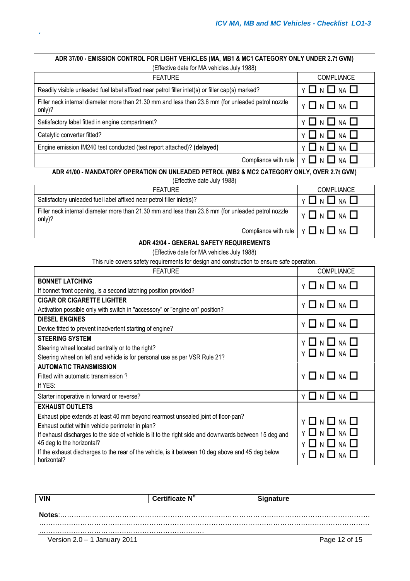#### **ADR 37/00 - EMISSION CONTROL FOR LIGHT VEHICLES (MA, MB1 & MC1 CATEGORY ONLY UNDER 2.7t GVM)** (Effective date for MA vehicles July 1988)

*.*

| <b>FEATURE</b>                                                                                               | <b>COMPLIANCE</b>                                                        |
|--------------------------------------------------------------------------------------------------------------|--------------------------------------------------------------------------|
| Readily visible unleaded fuel label affixed near petrol filler inlet(s) or filler cap(s) marked?             | $Y \square N \square NA \square$                                         |
| Filler neck internal diameter more than 21.30 mm and less than 23.6 mm (for unleaded petrol nozzle<br>only)? | $Y \Box N \Box NA \Box$                                                  |
| Satisfactory label fitted in engine compartment?                                                             | $Y \Box N \Box NA \Box$                                                  |
| Catalytic converter fitted?                                                                                  | $Y \Box N \Box NA \Box$                                                  |
| Engine emission IM240 test conducted (test report attached)? (delayed)                                       | $Y \Box N \Box NA \Box$                                                  |
|                                                                                                              | Compliance with rule $\vert \gamma \square \vert_N \square$ NA $\square$ |

## **ADR 41/00 - MANDATORY OPERATION ON UNLEADED PETROL (MB2 & MC2 CATEGORY ONLY, OVER 2.7t GVM)**

| (Effective date July 1988) |
|----------------------------|
|----------------------------|

| <b>FEATURE</b>                                                                                               | <b>COMPLIANCE</b>                                        |
|--------------------------------------------------------------------------------------------------------------|----------------------------------------------------------|
| Satisfactory unleaded fuel label affixed near petrol filler inlet(s)?                                        | ∣Y 囗 N 囗 NA 囗                                            |
| Filler neck internal diameter more than 21.30 mm and less than 23.6 mm (for unleaded petrol nozzle<br>only)? | ▎ <sup></sup> ▎▊ <sub></sub> ▏▊▕▏▊                       |
|                                                                                                              | Compliance with rule $ Y \square N \square$ NA $\square$ |

### **ADR 42/04 - GENERAL SAFETY REQUIREMENTS**

(Effective date for MA vehicles July 1988)

This rule covers safety requirements for design and construction to ensure safe operation.

| <b>FEATURE</b>                                                                                                   | <b>COMPLIANCE</b>                |
|------------------------------------------------------------------------------------------------------------------|----------------------------------|
| <b>BONNET LATCHING</b>                                                                                           | $Y \square N \square NA \square$ |
| If bonnet front opening, is a second latching position provided?                                                 |                                  |
| <b>CIGAR OR CIGARETTE LIGHTER</b>                                                                                | $Y \Box N \Box NA \Box$          |
| Activation possible only with switch in "accessory" or "engine on" position?                                     |                                  |
| <b>DIESEL ENGINES</b>                                                                                            | $Y \Box N \Box NA \Box$          |
| Device fitted to prevent inadvertent starting of engine?                                                         |                                  |
| <b>STEERING SYSTEM</b>                                                                                           | <b>Y □ N □ NA □</b>              |
| Steering wheel located centrally or to the right?                                                                | $Y \Box N \Box NA \Box$          |
| Steering wheel on left and vehicle is for personal use as per VSR Rule 21?                                       |                                  |
| <b>AUTOMATIC TRANSMISSION</b>                                                                                    |                                  |
| Fitted with automatic transmission?                                                                              | $Y \Box N \Box NA \Box$          |
| If YES:                                                                                                          |                                  |
| Starter inoperative in forward or reverse?                                                                       | Y □ N □ NA □                     |
| <b>EXHAUST OUTLETS</b>                                                                                           |                                  |
| Exhaust pipe extends at least 40 mm beyond rearmost unsealed joint of floor-pan?                                 | $Y \square N \square NA \square$ |
| Exhaust outlet within vehicle perimeter in plan?                                                                 |                                  |
| If exhaust discharges to the side of vehicle is it to the right side and downwards between 15 deg and            | Y □ N □ NA □                     |
| 45 deg to the horizontal?                                                                                        | Y ∐ N ∐ NA ∐                     |
| If the exhaust discharges to the rear of the vehicle, is it between 10 deg above and 45 deg below<br>horizontal? | $\Box$ n $\Box$ na $\Box$        |

| <b>VIN</b>                   | Certificate N° | <b>Signature</b> |  |
|------------------------------|----------------|------------------|--|
|                              |                |                  |  |
| Notes:                       |                |                  |  |
|                              |                |                  |  |
| Version 2.0 – 1 January 2011 |                | Page 12 of 15    |  |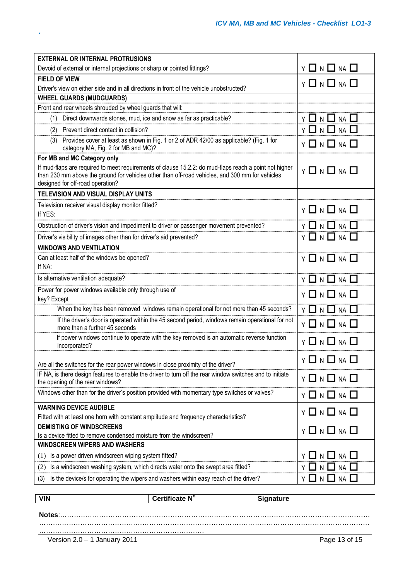| <b>EXTERNAL OR INTERNAL PROTRUSIONS</b>                                                                                                                                                                                                       |                                    |
|-----------------------------------------------------------------------------------------------------------------------------------------------------------------------------------------------------------------------------------------------|------------------------------------|
| Devoid of external or internal projections or sharp or pointed fittings?                                                                                                                                                                      | $Y \Box N \Box NA \Box$            |
| <b>FIELD OF VIEW</b>                                                                                                                                                                                                                          | $Y \Box N \Box NA \Box$            |
| Driver's view on either side and in all directions in front of the vehicle unobstructed?                                                                                                                                                      |                                    |
| <b>WHEEL GUARDS (MUDGUARDS)</b>                                                                                                                                                                                                               |                                    |
| Front and rear wheels shrouded by wheel guards that will:                                                                                                                                                                                     |                                    |
| Direct downwards stones, mud, ice and snow as far as practicable?<br>(1)                                                                                                                                                                      | N $\square$ NA $\square$<br>ΥI     |
| Prevent direct contact in collision?<br>(2)                                                                                                                                                                                                   | $Y \Box N \Box NA \Box$            |
| Provides cover at least as shown in Fig. 1 or 2 of ADR 42/00 as applicable? (Fig. 1 for<br>(3)<br>category MA, Fig. 2 for MB and MC)?                                                                                                         | $Y \ \Box \ N \ \Box \ N A \ \Box$ |
| For MB and MC Category only                                                                                                                                                                                                                   |                                    |
| If mud-flaps are required to meet requirements of clause 15.2.2: do mud-flaps reach a point not higher<br>than 230 mm above the ground for vehicles other than off-road vehicles, and 300 mm for vehicles<br>designed for off-road operation? | $Y \Box N \Box NA \Box$            |
| TELEVISION AND VISUAL DISPLAY UNITS                                                                                                                                                                                                           |                                    |
| Television receiver visual display monitor fitted?<br>If YES:                                                                                                                                                                                 | $Y \Box N \Box NA \Box$            |
| Obstruction of driver's vision and impediment to driver or passenger movement prevented?                                                                                                                                                      | $Y \Box N \Box NA \Box$            |
| Driver's visibility of images other than for driver's aid prevented?                                                                                                                                                                          | Y 囗 N 囗 NA 囗                       |
| <b>WINDOWS AND VENTILATION</b>                                                                                                                                                                                                                |                                    |
| Can at least half of the windows be opened?                                                                                                                                                                                                   | $Y \square N \square M \square$    |
| If NA:                                                                                                                                                                                                                                        |                                    |
| Is alternative ventilation adequate?                                                                                                                                                                                                          | $Y \Box N \Box NA \Box$            |
| Power for power windows available only through use of                                                                                                                                                                                         | $Y \Box N \Box NA \Box$            |
| key? Except                                                                                                                                                                                                                                   |                                    |
| When the key has been removed windows remain operational for not more than 45 seconds?                                                                                                                                                        | <b>Y 囗 N 囗 NA 囗</b>                |
| If the driver's door is operated within the 45 second period, windows remain operational for not<br>more than a further 45 seconds                                                                                                            | $Y \square N \square NA \square$   |
| If power windows continue to operate with the key removed is an automatic reverse function<br>incorporated?                                                                                                                                   | $Y \Box N \Box NA \Box$            |
| Are all the switches for the rear power windows in close proximity of the driver?                                                                                                                                                             | $Y \Box N \Box NA \Box$            |
| IF NA, is there design features to enable the driver to turn off the rear window switches and to initiate<br>the opening of the rear windows?                                                                                                 | $Y \Box N \Box NA \Box$            |
| Windows other than for the driver's position provided with momentary type switches or valves?                                                                                                                                                 | $Y \square N \square NA \square$   |
| <b>WARNING DEVICE AUDIBLE</b>                                                                                                                                                                                                                 | $Y \Box N \Box NA \Box$            |
| Fitted with at least one horn with constant amplitude and frequency characteristics?                                                                                                                                                          |                                    |
| <b>DEMISTING OF WINDSCREENS</b>                                                                                                                                                                                                               | <b>Y □ N □ NA □</b>                |
| Is a device fitted to remove condensed moisture from the windscreen?                                                                                                                                                                          |                                    |
| <b>WINDSCREEN WIPERS AND WASHERS</b>                                                                                                                                                                                                          |                                    |
| Is a power driven windscreen wiping system fitted?<br>(1)                                                                                                                                                                                     | $NA$ $\Box$<br>N                   |
| Is a windscreen washing system, which directs water onto the swept area fitted?<br>(2)                                                                                                                                                        | $NA$ $\Box$                        |
| Is the device/s for operating the wipers and washers within easy reach of the driver?<br>(3)                                                                                                                                                  | $NA$ $\Box$<br>- 1                 |

|                              | Certificate N° | <b>Signature</b> |
|------------------------------|----------------|------------------|
|                              |                |                  |
| Notes:                       |                |                  |
|                              |                |                  |
| Version 2.0 - 1 January 2011 |                | Page 13 of 15    |
|                              |                |                  |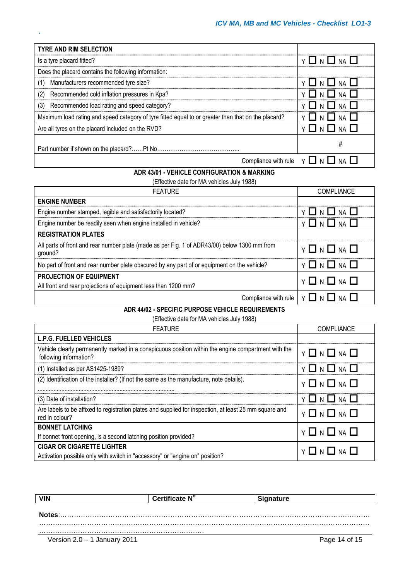| <b>TYRE AND RIM SELECTION</b>                                                                       |                           |
|-----------------------------------------------------------------------------------------------------|---------------------------|
| Is a tyre placard fitted?                                                                           | YIINIINAII                |
| Does the placard contains the following information:                                                |                           |
| Manufacturers recommended tyre size?<br>(1)                                                         | Y O N U NA U              |
| Recommended cold inflation pressures in Kpa?<br>(2)                                                 | I I N I I NA I I          |
| Recommended load rating and speed category?<br>(3)                                                  | $\Box$ n $\Box$ na $\Box$ |
| Maximum load rating and speed category of tyre fitted equal to or greater than that on the placard? | Y LI N LI NA LI           |
| Are all tyres on the placard included on the RVD?                                                   | $\Box N \Box NA$          |
|                                                                                                     | #                         |
| Compliance with rule $\vert \gamma \vert$ $\vert \bot \vert$ N                                      |                           |

## **ADR 43/01 - VEHICLE CONFIGURATION & MARKING**

(Effective date for MA vehicles July 1988)

| <b>FEATURE</b>                                                                                          | <b>COMPLIANCE</b>         |
|---------------------------------------------------------------------------------------------------------|---------------------------|
| <b>ENGINE NUMBER</b>                                                                                    |                           |
| Engine number stamped, legible and satisfactorily located?                                              | YIINIINAII                |
| Engine number be readily seen when engine installed in vehicle?                                         | $\Box$ n $\Box$ na $\Box$ |
| <b>REGISTRATION PLATES</b>                                                                              |                           |
| All parts of front and rear number plate (made as per Fig. 1 of ADR43/00) below 1300 mm from<br>ground? | $Y \Box N \Box NA \Box$   |
| No part of front and rear number plate obscured by any part of or equipment on the vehicle?             | $Y \Box N \Box NA$        |
| <b>PROJECTION OF EQUIPMENT</b><br>All front and rear projections of equipment less than 1200 mm?        | $Y \Box N \Box NA$        |
| Compliance with rule                                                                                    | YLINLINALI                |

## **ADR 44/02 - SPECIFIC PURPOSE VEHICLE REQUIREMENTS**

(Effective date for MA vehicles July 1988)

| <b>FEATURE</b>                                                                                                                | <b>COMPLIANCE</b>       |
|-------------------------------------------------------------------------------------------------------------------------------|-------------------------|
| <b>L.P.G. FUELLED VEHICLES</b>                                                                                                |                         |
| Vehicle clearly permanently marked in a conspicuous position within the engine compartment with the<br>following information? | $Y \Box N \Box NA \Box$ |
| (1) Installed as per AS1425-1989?                                                                                             | Y □ N □ NA □            |
| (2) Identification of the installer? (If not the same as the manufacture, note details).                                      | $Y \Box N \Box NA \Box$ |
| (3) Date of installation?                                                                                                     | Y O N O NA O            |
| Are labels to be affixed to registration plates and supplied for inspection, at least 25 mm square and<br>red in colour?      | $Y \Box N \Box NA \Box$ |
| <b>BONNET LATCHING</b>                                                                                                        | $Y \Box N \Box NA \Box$ |
| If bonnet front opening, is a second latching position provided?                                                              |                         |
| <b>CIGAR OR CIGARETTE LIGHTER</b>                                                                                             | $Y \Box N \Box NA \Box$ |
| Activation possible only with switch in "accessory" or "engine on" position?                                                  |                         |

| VIN                          | Certificate N $^\circ$ | qnature       |
|------------------------------|------------------------|---------------|
|                              |                        |               |
| Notes:                       |                        |               |
|                              |                        |               |
|                              |                        |               |
| Version 2.0 - 1 January 2011 |                        | Page 14 of 15 |